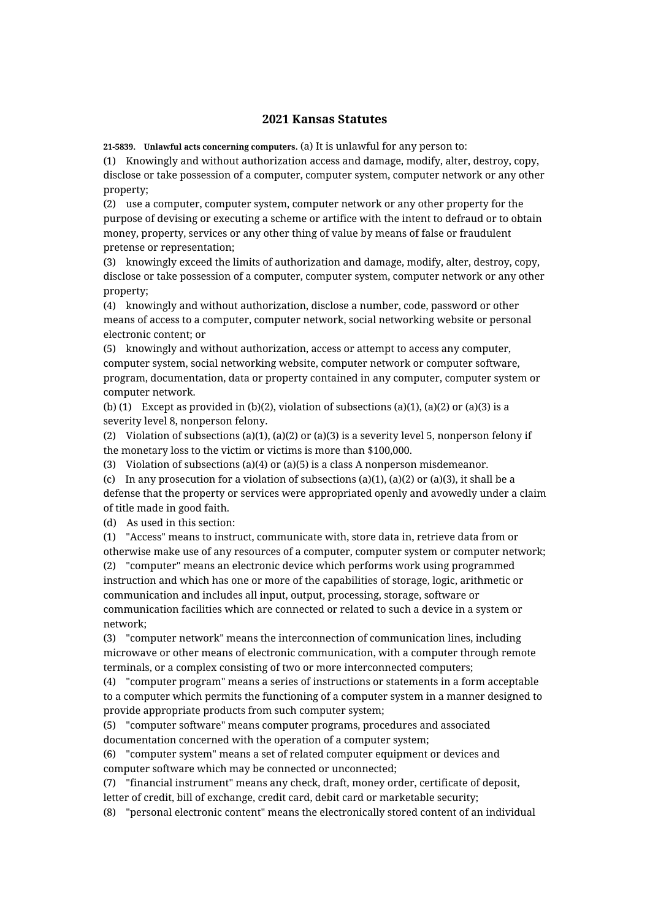## **2021 Kansas Statutes**

**21-5839. Unlawful acts concerning computers.** (a) It is unlawful for any person to:

(1) Knowingly and without authorization access and damage, modify, alter, destroy, copy, disclose or take possession of a computer, computer system, computer network or any other property;

(2) use a computer, computer system, computer network or any other property for the purpose of devising or executing a scheme or artifice with the intent to defraud or to obtain money, property, services or any other thing of value by means of false or fraudulent pretense or representation;

(3) knowingly exceed the limits of authorization and damage, modify, alter, destroy, copy, disclose or take possession of a computer, computer system, computer network or any other property;

(4) knowingly and without authorization, disclose a number, code, password or other means of access to a computer, computer network, social networking website or personal electronic content; or

(5) knowingly and without authorization, access or attempt to access any computer, computer system, social networking website, computer network or computer software, program, documentation, data or property contained in any computer, computer system or computer network.

(b) (1) Except as provided in (b)(2), violation of subsections (a)(1), (a)(2) or (a)(3) is a severity level 8, nonperson felony.

(2) Violation of subsections (a)(1), (a)(2) or (a)(3) is a severity level 5, nonperson felony if the monetary loss to the victim or victims is more than \$100,000.

(3) Violation of subsections (a)(4) or (a)(5) is a class A nonperson misdemeanor.

(c) In any prosecution for a violation of subsections (a)(1), (a)(2) or (a)(3), it shall be a defense that the property or services were appropriated openly and avowedly under a claim of title made in good faith.

(d) As used in this section:

(1) "Access" means to instruct, communicate with, store data in, retrieve data from or otherwise make use of any resources of a computer, computer system or computer network; (2) "computer" means an electronic device which performs work using programmed instruction and which has one or more of the capabilities of storage, logic, arithmetic or communication and includes all input, output, processing, storage, software or communication facilities which are connected or related to such a device in a system or network;

(3) "computer network" means the interconnection of communication lines, including microwave or other means of electronic communication, with a computer through remote terminals, or a complex consisting of two or more interconnected computers;

(4) "computer program" means a series of instructions or statements in a form acceptable to a computer which permits the functioning of a computer system in a manner designed to provide appropriate products from such computer system;

(5) "computer software" means computer programs, procedures and associated documentation concerned with the operation of a computer system;

(6) "computer system" means a set of related computer equipment or devices and computer software which may be connected or unconnected;

(7) "financial instrument" means any check, draft, money order, certificate of deposit, letter of credit, bill of exchange, credit card, debit card or marketable security;

(8) "personal electronic content" means the electronically stored content of an individual